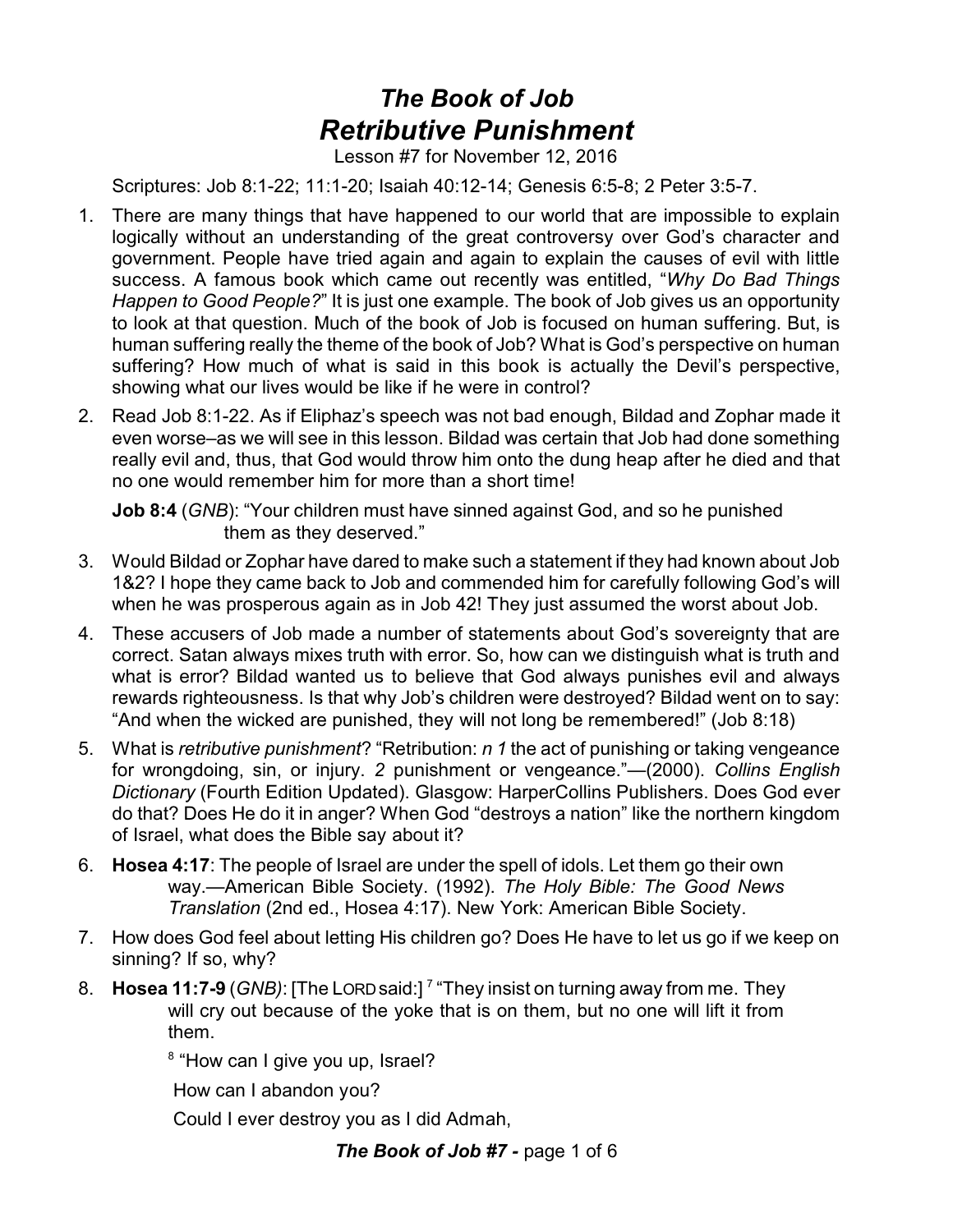## *The Book of Job Retributive Punishment*

Lesson #7 for November 12, 2016

Scriptures: Job 8:1-22; 11:1-20; Isaiah 40:12-14; Genesis 6:5-8; 2 Peter 3:5-7.

- 1. There are many things that have happened to our world that are impossible to explain logically without an understanding of the great controversy over God's character and government. People have tried again and again to explain the causes of evil with little success. A famous book which came out recently was entitled, "*Why Do Bad Things Happen to Good People?*" It is just one example. The book of Job gives us an opportunity to look at that question. Much of the book of Job is focused on human suffering. But, is human suffering really the theme of the book of Job? What is God's perspective on human suffering? How much of what is said in this book is actually the Devil's perspective, showing what our lives would be like if he were in control?
- 2. Read Job 8:1-22. As if Eliphaz's speech was not bad enough, Bildad and Zophar made it even worse–as we will see in this lesson. Bildad was certain that Job had done something really evil and, thus, that God would throw him onto the dung heap after he died and that no one would remember him for more than a short time!

**Job 8:4** (*GNB*): "Your children must have sinned against God, and so he punished them as they deserved."

- 3. Would Bildad or Zophar have dared to make such a statement if they had known about Job 1&2? I hope they came back to Job and commended him for carefully following God's will when he was prosperous again as in Job 42! They just assumed the worst about Job.
- 4. These accusers of Job made a number of statements about God's sovereignty that are correct. Satan always mixes truth with error. So, how can we distinguish what is truth and what is error? Bildad wanted us to believe that God always punishes evil and always rewards righteousness. Is that why Job's children were destroyed? Bildad went on to say: "And when the wicked are punished, they will not long be remembered!" (Job 8:18)
- 5. What is *retributive punishment*? "Retribution: *n 1* the act of punishing or taking vengeance for wrongdoing, sin, or injury. *2* punishment or vengeance."—(2000). *Collins English Dictionary* (Fourth Edition Updated). Glasgow: HarperCollins Publishers. Does God ever do that? Does He do it in anger? When God "destroys a nation" like the northern kingdom of Israel, what does the Bible say about it?
- 6. **Hosea 4:17**: The people of Israel are under the spell of idols. Let them go their own way.—American Bible Society. (1992). *The Holy Bible: The Good News Translation* (2nd ed., Hosea 4:17). New York: American Bible Society.
- 7. How does God feel about letting His children go? Does He have to let us go if we keep on sinning? If so, why?
- 8. **Hosea 11:7-9** (*GNB)*: [The LORDsaid:] <sup>7</sup> "They insist on turning away from me. They will cry out because of the yoke that is on them, but no one will lift it from them.

<sup>8</sup> "How can I give you up, Israel?

How can I abandon you?

Could I ever destroy you as I did Admah,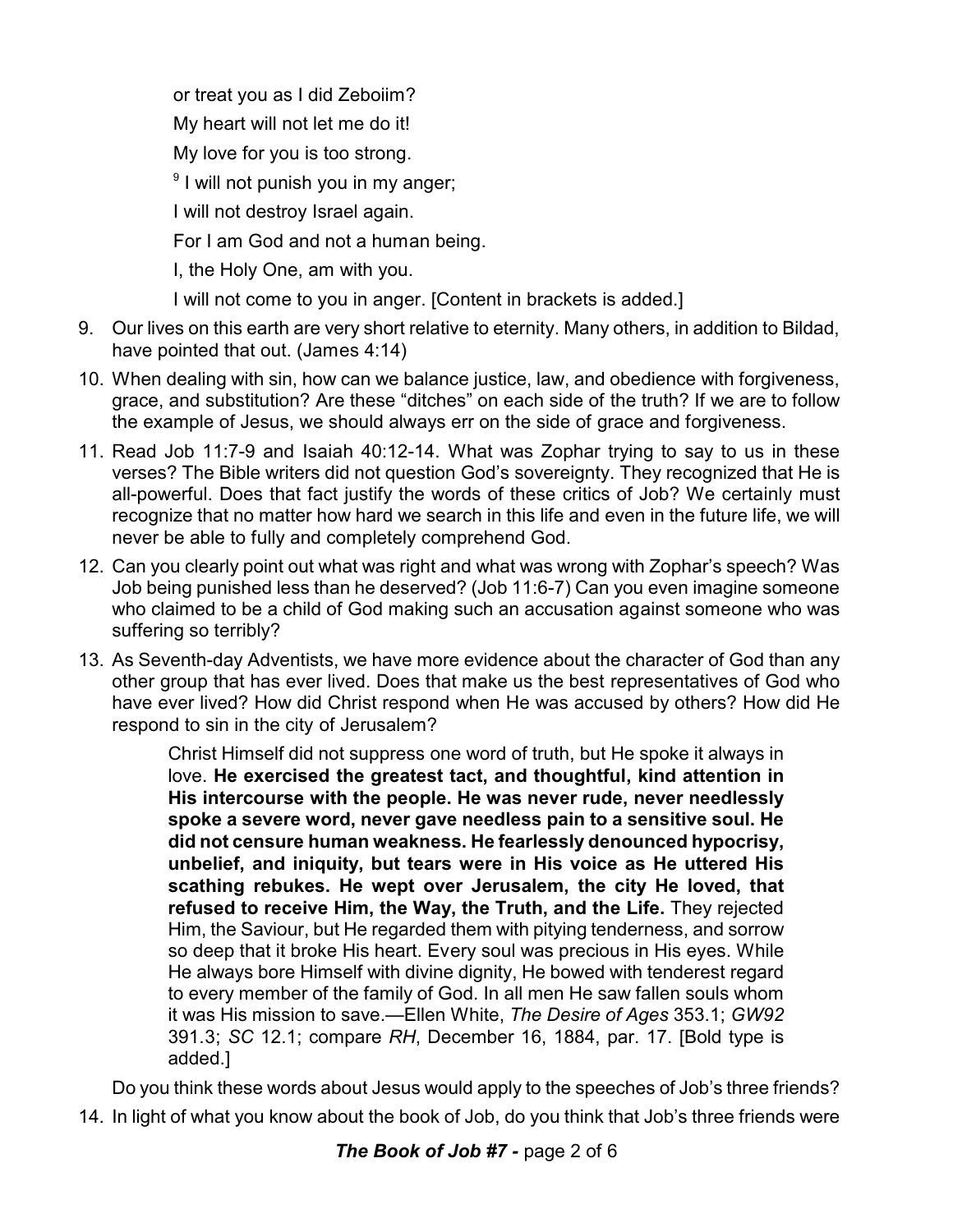or treat you as I did Zeboiim? My heart will not let me do it! My love for you is too strong. <sup>9</sup> I will not punish you in my anger; I will not destroy Israel again. For I am God and not a human being. I, the Holy One, am with you. I will not come to you in anger. [Content in brackets is added.]

- 9. Our lives on this earth are very short relative to eternity. Many others, in addition to Bildad, have pointed that out. (James 4:14)
- 10. When dealing with sin, how can we balance justice, law, and obedience with forgiveness, grace, and substitution? Are these "ditches" on each side of the truth? If we are to follow the example of Jesus, we should always err on the side of grace and forgiveness.
- 11. Read Job 11:7-9 and Isaiah 40:12-14. What was Zophar trying to say to us in these verses? The Bible writers did not question God's sovereignty. They recognized that He is all-powerful. Does that fact justify the words of these critics of Job? We certainly must recognize that no matter how hard we search in this life and even in the future life, we will never be able to fully and completely comprehend God.
- 12. Can you clearly point out what was right and what was wrong with Zophar's speech? Was Job being punished less than he deserved? (Job 11:6-7) Can you even imagine someone who claimed to be a child of God making such an accusation against someone who was suffering so terribly?
- 13. As Seventh-day Adventists, we have more evidence about the character of God than any other group that has ever lived. Does that make us the best representatives of God who have ever lived? How did Christ respond when He was accused by others? How did He respond to sin in the city of Jerusalem?

Christ Himself did not suppress one word of truth, but He spoke it always in love. **He exercised the greatest tact, and thoughtful, kind attention in His intercourse with the people. He was never rude, never needlessly spoke a severe word, never gave needless pain to a sensitive soul. He did not censure human weakness. He fearlessly denounced hypocrisy, unbelief, and iniquity, but tears were in His voice as He uttered His scathing rebukes. He wept over Jerusalem, the city He loved, that refused to receive Him, the Way, the Truth, and the Life.** They rejected Him, the Saviour, but He regarded them with pitying tenderness, and sorrow so deep that it broke His heart. Every soul was precious in His eyes. While He always bore Himself with divine dignity, He bowed with tenderest regard to every member of the family of God. In all men He saw fallen souls whom it was His mission to save.—Ellen White, *The Desire of Ages* 353.1; *GW92* 391.3; *SC* 12.1; compare *RH*, December 16, 1884, par. 17. [Bold type is added.]

Do you think these words about Jesus would apply to the speeches of Job's three friends?

14. In light of what you know about the book of Job, do you think that Job's three friends were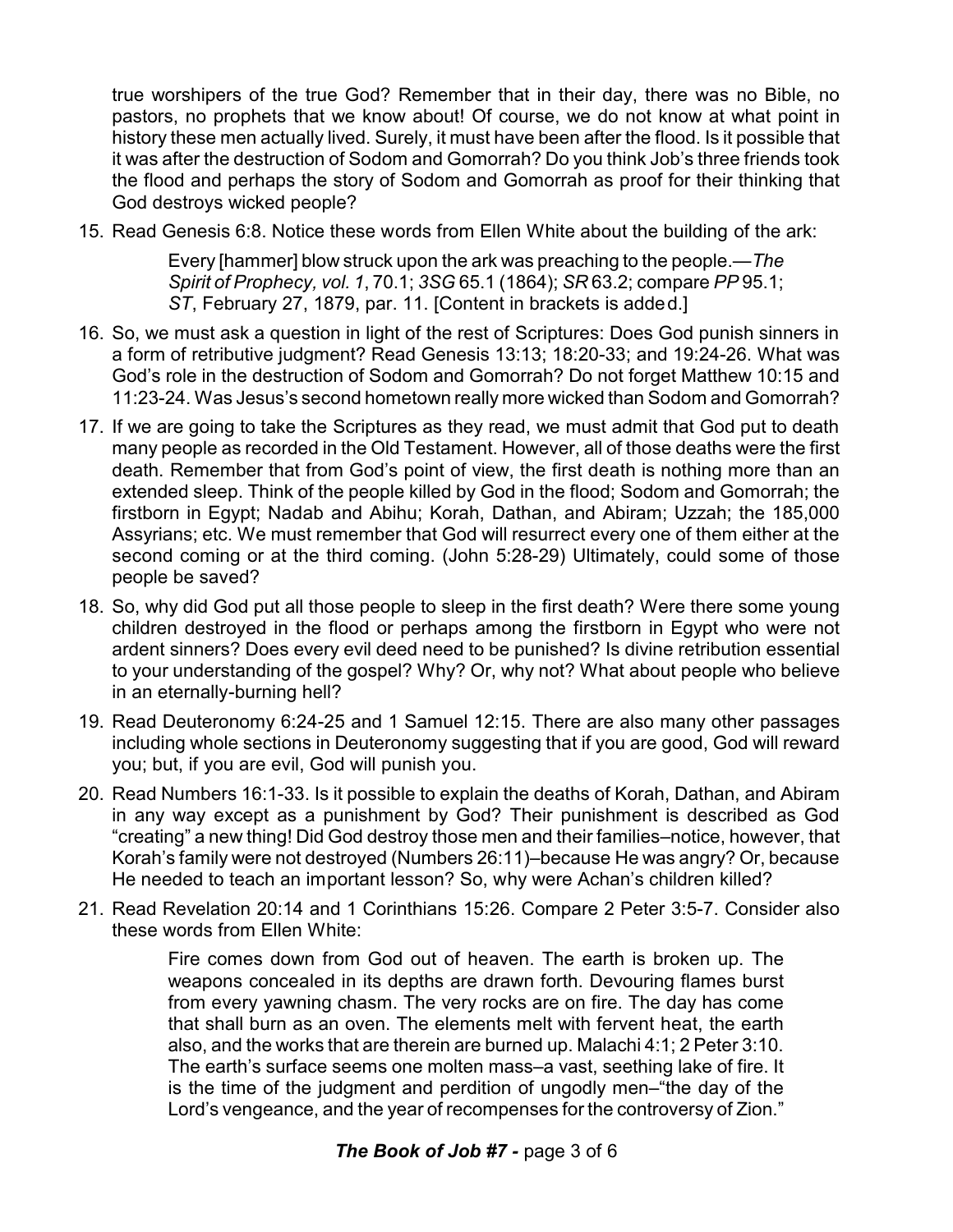true worshipers of the true God? Remember that in their day, there was no Bible, no pastors, no prophets that we know about! Of course, we do not know at what point in history these men actually lived. Surely, it must have been after the flood. Is it possible that it was after the destruction of Sodom and Gomorrah? Do you think Job's three friends took the flood and perhaps the story of Sodom and Gomorrah as proof for their thinking that God destroys wicked people?

15. Read Genesis 6:8. Notice these words from Ellen White about the building of the ark:

Every [hammer] blow struck upon the ark was preaching to the people.—*The Spirit of Prophecy, vol. 1*, 70.1; *3SG* 65.1 (1864); *SR* 63.2; compare *PP* 95.1; *ST*, February 27, 1879, par. 11. [Content in brackets is added.]

- 16. So, we must ask a question in light of the rest of Scriptures: Does God punish sinners in a form of retributive judgment? Read Genesis 13:13; 18:20-33; and 19:24-26. What was God's role in the destruction of Sodom and Gomorrah? Do not forget Matthew 10:15 and 11:23-24. Was Jesus's second hometown really more wicked than Sodom and Gomorrah?
- 17. If we are going to take the Scriptures as they read, we must admit that God put to death many people as recorded in the Old Testament. However, all of those deaths were the first death. Remember that from God's point of view, the first death is nothing more than an extended sleep. Think of the people killed by God in the flood; Sodom and Gomorrah; the firstborn in Egypt; Nadab and Abihu; Korah, Dathan, and Abiram; Uzzah; the 185,000 Assyrians; etc. We must remember that God will resurrect every one of them either at the second coming or at the third coming. (John 5:28-29) Ultimately, could some of those people be saved?
- 18. So, why did God put all those people to sleep in the first death? Were there some young children destroyed in the flood or perhaps among the firstborn in Egypt who were not ardent sinners? Does every evil deed need to be punished? Is divine retribution essential to your understanding of the gospel? Why? Or, why not? What about people who believe in an eternally-burning hell?
- 19. Read Deuteronomy 6:24-25 and 1 Samuel 12:15. There are also many other passages including whole sections in Deuteronomy suggesting that if you are good, God will reward you; but, if you are evil, God will punish you.
- 20. Read Numbers 16:1-33. Is it possible to explain the deaths of Korah, Dathan, and Abiram in any way except as a punishment by God? Their punishment is described as God "creating" a new thing! Did God destroy those men and their families–notice, however, that Korah's family were not destroyed (Numbers 26:11)–because He was angry? Or, because He needed to teach an important lesson? So, why were Achan's children killed?
- 21. Read Revelation 20:14 and 1 Corinthians 15:26. Compare 2 Peter 3:5-7. Consider also these words from Ellen White:

Fire comes down from God out of heaven. The earth is broken up. The weapons concealed in its depths are drawn forth. Devouring flames burst from every yawning chasm. The very rocks are on fire. The day has come that shall burn as an oven. The elements melt with fervent heat, the earth also, and the works that are therein are burned up. Malachi 4:1; 2 Peter 3:10. The earth's surface seems one molten mass–a vast, seething lake of fire. It is the time of the judgment and perdition of ungodly men–"the day of the Lord's vengeance, and the year of recompenses for the controversy of Zion."

## *The Book of Job #7 -* page 3 of 6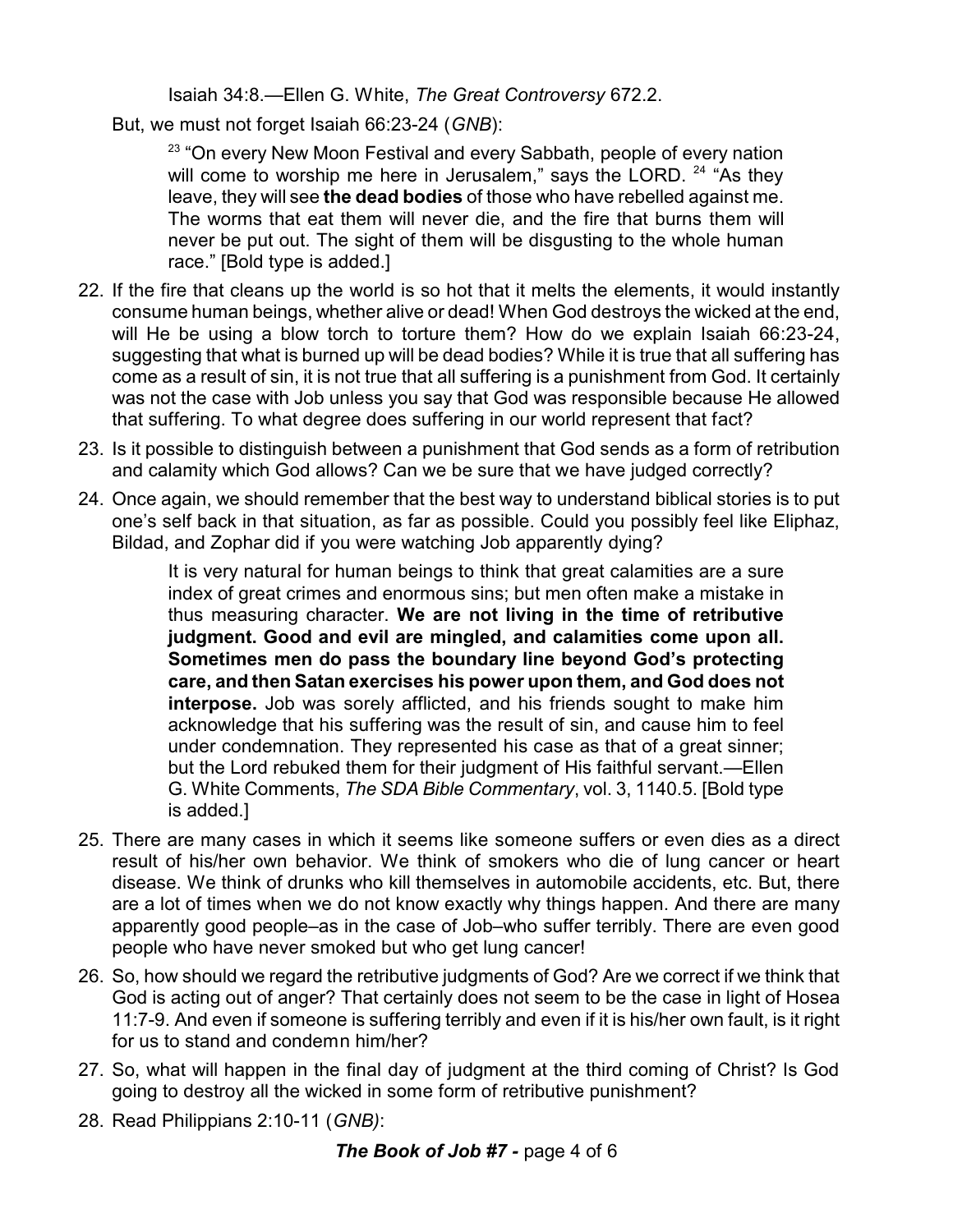Isaiah 34:8.—Ellen G. White, *The Great Controversy* 672.2.

But, we must not forget Isaiah 66:23-24 (*GNB*):

<sup>23</sup> "On every New Moon Festival and every Sabbath, people of every nation will come to worship me here in Jerusalem," says the LORD. <sup>24</sup> "As they leave, they will see **the dead bodies** of those who have rebelled against me. The worms that eat them will never die, and the fire that burns them will never be put out. The sight of them will be disgusting to the whole human race." [Bold type is added.]

- 22. If the fire that cleans up the world is so hot that it melts the elements, it would instantly consume human beings, whether alive or dead! When God destroys the wicked at the end, will He be using a blow torch to torture them? How do we explain Isaiah 66:23-24, suggesting that what is burned up will be dead bodies? While it is true that all suffering has come as a result of sin, it is not true that all suffering is a punishment from God. It certainly was not the case with Job unless you say that God was responsible because He allowed that suffering. To what degree does suffering in our world represent that fact?
- 23. Is it possible to distinguish between a punishment that God sends as a form of retribution and calamity which God allows? Can we be sure that we have judged correctly?
- 24. Once again, we should remember that the best way to understand biblical stories is to put one's self back in that situation, as far as possible. Could you possibly feel like Eliphaz, Bildad, and Zophar did if you were watching Job apparently dying?

It is very natural for human beings to think that great calamities are a sure index of great crimes and enormous sins; but men often make a mistake in thus measuring character. **We are not living in the time of retributive judgment. Good and evil are mingled, and calamities come upon all. Sometimes men do pass the boundary line beyond God's protecting care, and then Satan exercises his power upon them, and God does not interpose.** Job was sorely afflicted, and his friends sought to make him acknowledge that his suffering was the result of sin, and cause him to feel under condemnation. They represented his case as that of a great sinner; but the Lord rebuked them for their judgment of His faithful servant.—Ellen G. White Comments, *The SDA Bible Commentary*, vol. 3, 1140.5. [Bold type is added.]

- 25. There are many cases in which it seems like someone suffers or even dies as a direct result of his/her own behavior. We think of smokers who die of lung cancer or heart disease. We think of drunks who kill themselves in automobile accidents, etc. But, there are a lot of times when we do not know exactly why things happen. And there are many apparently good people–as in the case of Job–who suffer terribly. There are even good people who have never smoked but who get lung cancer!
- 26. So, how should we regard the retributive judgments of God? Are we correct if we think that God is acting out of anger? That certainly does not seem to be the case in light of Hosea 11:7-9. And even if someone is suffering terribly and even if it is his/her own fault, is it right for us to stand and condemn him/her?
- 27. So, what will happen in the final day of judgment at the third coming of Christ? Is God going to destroy all the wicked in some form of retributive punishment?
- 28. Read Philippians 2:10-11 (*GNB)*: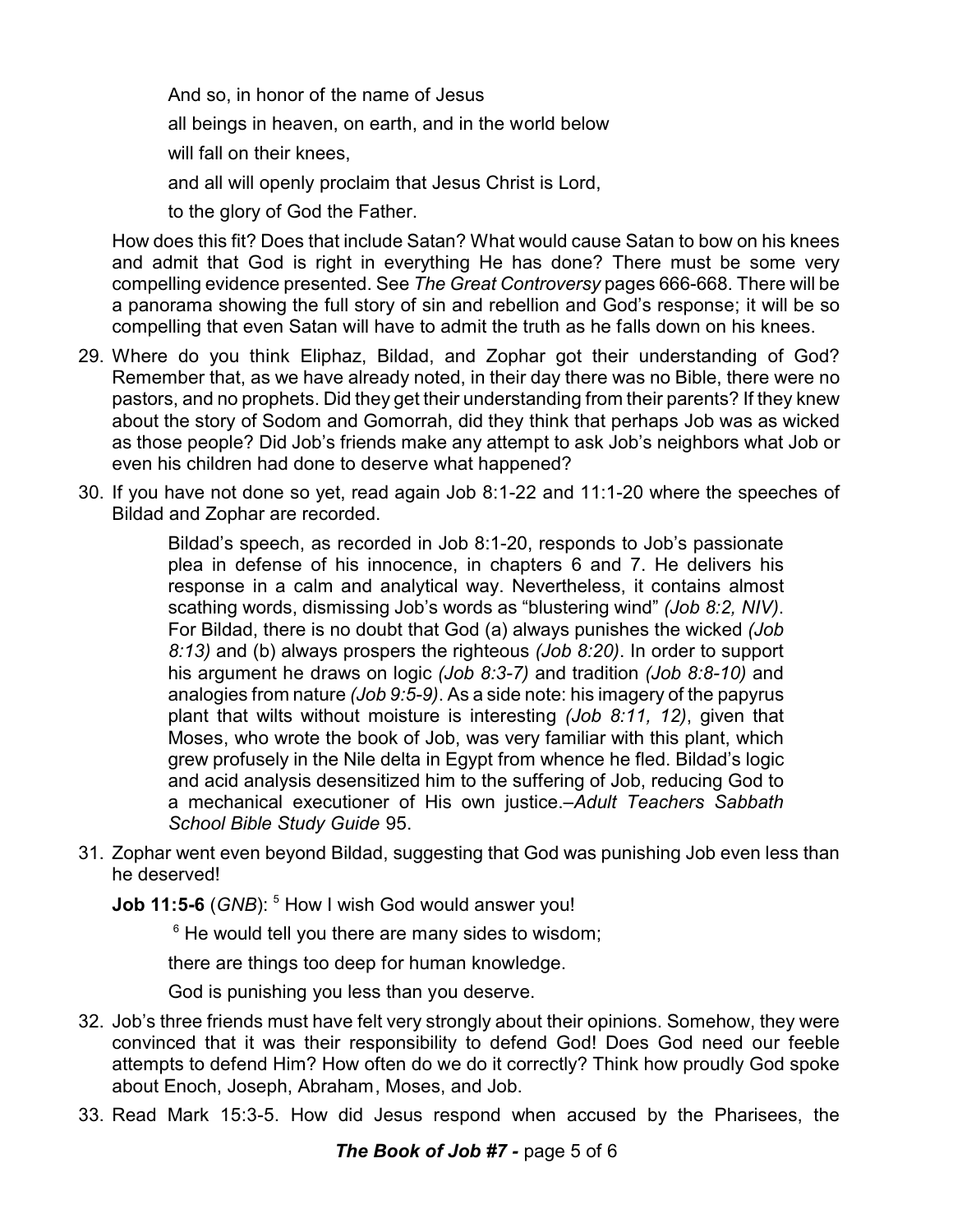And so, in honor of the name of Jesus all beings in heaven, on earth, and in the world below will fall on their knees, and all will openly proclaim that Jesus Christ is Lord,

to the glory of God the Father.

How does this fit? Does that include Satan? What would cause Satan to bow on his knees and admit that God is right in everything He has done? There must be some very compelling evidence presented. See *The Great Controversy* pages 666-668. There will be a panorama showing the full story of sin and rebellion and God's response; it will be so compelling that even Satan will have to admit the truth as he falls down on his knees.

- 29. Where do you think Eliphaz, Bildad, and Zophar got their understanding of God? Remember that, as we have already noted, in their day there was no Bible, there were no pastors, and no prophets. Did they get their understanding from their parents? If they knew about the story of Sodom and Gomorrah, did they think that perhaps Job was as wicked as those people? Did Job's friends make any attempt to ask Job's neighbors what Job or even his children had done to deserve what happened?
- 30. If you have not done so yet, read again Job 8:1-22 and 11:1-20 where the speeches of Bildad and Zophar are recorded.

Bildad's speech, as recorded in Job 8:1-20, responds to Job's passionate plea in defense of his innocence, in chapters 6 and 7. He delivers his response in a calm and analytical way. Nevertheless, it contains almost scathing words, dismissing Job's words as "blustering wind" *(Job 8:2, NIV)*. For Bildad, there is no doubt that God (a) always punishes the wicked *(Job 8:13)* and (b) always prospers the righteous *(Job 8:20)*. In order to support his argument he draws on logic *(Job 8:3-7)* and tradition *(Job 8:8-10)* and analogies from nature *(Job 9:5-9)*. As a side note: his imagery of the papyrus plant that wilts without moisture is interesting *(Job 8:11, 12)*, given that Moses, who wrote the book of Job, was very familiar with this plant, which grew profusely in the Nile delta in Egypt from whence he fled. Bildad's logic and acid analysis desensitized him to the suffering of Job, reducing God to a mechanical executioner of His own justice.–*Adult Teachers Sabbath School Bible Study Guide* 95.

- 31. Zophar went even beyond Bildad, suggesting that God was punishing Job even less than he deserved!
	- **Job 11:5-6** (GNB): <sup>5</sup> How I wish God would answer you!

<sup>6</sup> He would tell you there are many sides to wisdom;

there are things too deep for human knowledge.

God is punishing you less than you deserve.

- 32. Job's three friends must have felt very strongly about their opinions. Somehow, they were convinced that it was their responsibility to defend God! Does God need our feeble attempts to defend Him? How often do we do it correctly? Think how proudly God spoke about Enoch, Joseph, Abraham, Moses, and Job.
- 33. Read Mark 15:3-5. How did Jesus respond when accused by the Pharisees, the